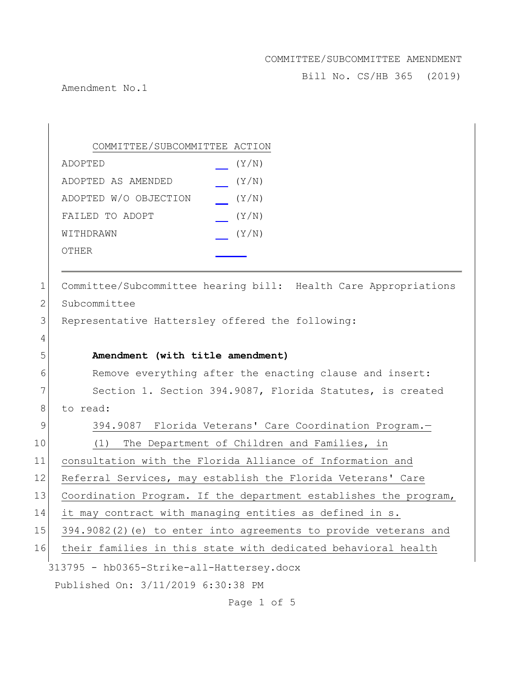Bill No. CS/HB 365 (2019)

Amendment No.1

313795 - hb0365-Strike-all-Hattersey.docx Published On: 3/11/2019 6:30:38 PM COMMITTEE/SUBCOMMITTEE ACTION ADOPTED (Y/N) ADOPTED AS AMENDED (Y/N) ADOPTED W/O OBJECTION (Y/N) FAILED TO ADOPT  $(Y/N)$ WITHDRAWN  $(Y/N)$ OTHER 1 Committee/Subcommittee hearing bill: Health Care Appropriations 2 Subcommittee 3 Representative Hattersley offered the following: 4 5 **Amendment (with title amendment)** 6 Remove everything after the enacting clause and insert: 7 Section 1. Section 394.9087, Florida Statutes, is created 8 to read: 9 394.9087 Florida Veterans' Care Coordination Program. 10 (1) The Department of Children and Families, in 11 consultation with the Florida Alliance of Information and 12 Referral Services, may establish the Florida Veterans' Care 13 Coordination Program. If the department establishes the program, 14 it may contract with managing entities as defined in s. 15 394.9082(2)(e) to enter into agreements to provide veterans and 16 their families in this state with dedicated behavioral health

Page 1 of 5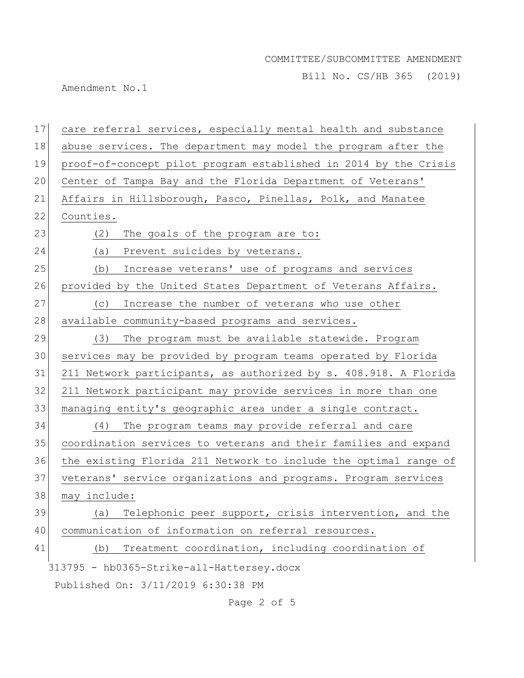Bill No. CS/HB 365 (2019)

Amendment No.1

| 17 | care referral services, especially mental health and substance   |
|----|------------------------------------------------------------------|
| 18 | abuse services. The department may model the program after the   |
| 19 | proof-of-concept pilot program established in 2014 by the Crisis |
| 20 | Center of Tampa Bay and the Florida Department of Veterans'      |
| 21 | Affairs in Hillsborough, Pasco, Pinellas, Polk, and Manatee      |
| 22 | Counties.                                                        |
| 23 | The goals of the program are to:<br>(2)                          |
| 24 | (a)<br>Prevent suicides by veterans.                             |
| 25 | Increase veterans' use of programs and services<br>(b)           |
| 26 | provided by the United States Department of Veterans Affairs.    |
| 27 | Increase the number of veterans who use other<br>(C)             |
| 28 | available community-based programs and services.                 |
| 29 | (3)<br>The program must be available statewide. Program          |
| 30 | services may be provided by program teams operated by Florida    |
| 31 | 211 Network participants, as authorized by s. 408.918. A Florida |
| 32 | 211 Network participant may provide services in more than one    |
| 33 | managing entity's geographic area under a single contract.       |
| 34 | The program teams may provide referral and care<br>(4)           |
| 35 | coordination services to veterans and their families and expand  |
| 36 | the existing Florida 211 Network to include the optimal range of |
| 37 | veterans' service organizations and programs. Program services   |
| 38 | may include:                                                     |
| 39 | Telephonic peer support, crisis intervention, and the<br>(a)     |
| 40 | communication of information on referral resources.              |
| 41 | Treatment coordination, including coordination of<br>(b)         |
|    | 313795 - hb0365-Strike-all-Hattersey.docx                        |
|    | Published On: 3/11/2019 6:30:38 PM                               |

Page 2 of 5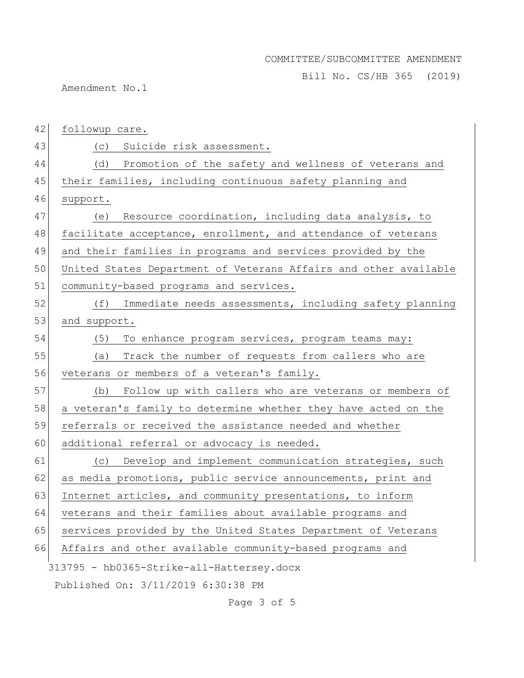Bill No. CS/HB 365 (2019)

Amendment No.1

| 42 | followup care.                                                   |
|----|------------------------------------------------------------------|
| 43 | (c) Suicide risk assessment.                                     |
| 44 | (d) Promotion of the safety and wellness of veterans and         |
| 45 | their families, including continuous safety planning and         |
| 46 | support.                                                         |
| 47 | Resource coordination, including data analysis, to<br>(e)        |
| 48 | facilitate acceptance, enrollment, and attendance of veterans    |
| 49 | and their families in programs and services provided by the      |
| 50 | United States Department of Veterans Affairs and other available |
| 51 | community-based programs and services.                           |
| 52 | (f) Immediate needs assessments, including safety planning       |
| 53 | and support.                                                     |
| 54 | (5)<br>To enhance program services, program teams may:           |
| 55 | Track the number of requests from callers who are<br>(a)         |
| 56 | veterans or members of a veteran's family.                       |
| 57 | (b) Follow up with callers who are veterans or members of        |
| 58 | a veteran's family to determine whether they have acted on the   |
| 59 | referrals or received the assistance needed and whether          |
| 60 | additional referral or advocacy is needed.                       |
| 61 | Develop and implement communication strategies, such<br>(C)      |
| 62 | as media promotions, public service announcements, print and     |
| 63 | Internet articles, and community presentations, to inform        |
| 64 | veterans and their families about available programs and         |
| 65 | services provided by the United States Department of Veterans    |
| 66 | Affairs and other available community-based programs and         |
|    | 313795 - hb0365-Strike-all-Hattersey.docx                        |
|    | Published On: 3/11/2019 6:30:38 PM                               |

Page 3 of 5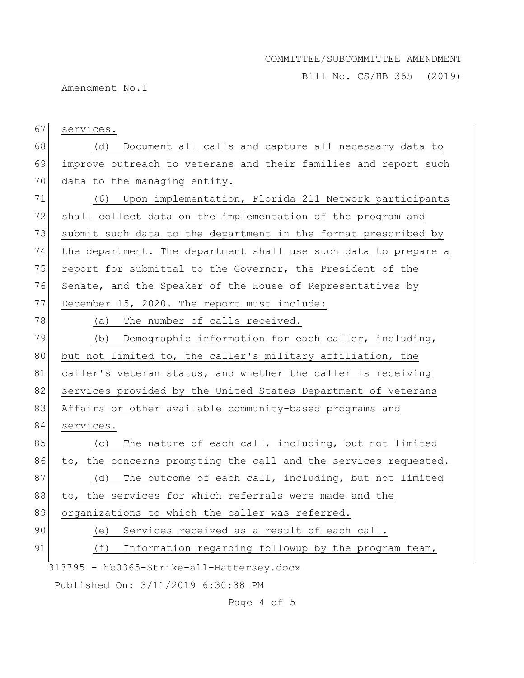Bill No. CS/HB 365 (2019)

Amendment No.1

313795 - hb0365-Strike-all-Hattersey.docx Published On: 3/11/2019 6:30:38 PM 67 services. 68 (d) Document all calls and capture all necessary data to 69 improve outreach to veterans and their families and report such 70 data to the managing entity. 71 (6) Upon implementation, Florida 211 Network participants 72 shall collect data on the implementation of the program and 73 submit such data to the department in the format prescribed by 74 the department. The department shall use such data to prepare a 75 report for submittal to the Governor, the President of the 76 Senate, and the Speaker of the House of Representatives by 77 December 15, 2020. The report must include: 78 (a) The number of calls received. 79 (b) Demographic information for each caller, including, 80 but not limited to, the caller's military affiliation, the 81 caller's veteran status, and whether the caller is receiving 82 services provided by the United States Department of Veterans 83 Affairs or other available community-based programs and 84 services. 85 (c) The nature of each call, including, but not limited 86 to, the concerns prompting the call and the services requested.  $87$  (d) The outcome of each call, including, but not limited 88 to, the services for which referrals were made and the 89 organizations to which the caller was referred. 90 (e) Services received as a result of each call. 91 (f) Information regarding followup by the program team,

Page 4 of 5